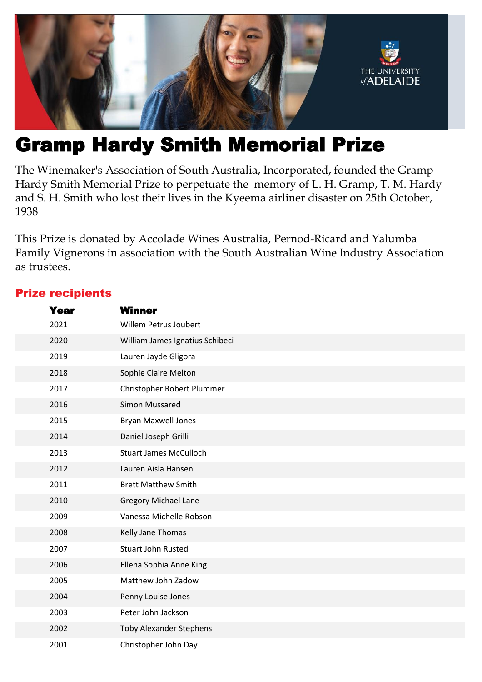

# Gramp Hardy Smith Memorial Prize

The Winemaker's Association of South Australia, Incorporated, founded the Gramp Hardy Smith Memorial Prize to perpetuate the memory of L. H. Gramp, T. M. Hardy and S. H. Smith who lost their lives in the Kyeema airliner disaster on 25th October, 

This Prize is donated by Accolade Wines Australia, Pernod-Ricard and Yalumba Family Vignerons in association with the South Australian Wine Industry Association as trustees.

## Prize recipients

| Year | <b>Winner</b>                   |
|------|---------------------------------|
| 2021 | Willem Petrus Joubert           |
| 2020 | William James Ignatius Schibeci |
| 2019 | Lauren Jayde Gligora            |
| 2018 | Sophie Claire Melton            |
| 2017 | Christopher Robert Plummer      |
| 2016 | Simon Mussared                  |
| 2015 | <b>Bryan Maxwell Jones</b>      |
| 2014 | Daniel Joseph Grilli            |
| 2013 | <b>Stuart James McCulloch</b>   |
| 2012 | Lauren Aisla Hansen             |
| 2011 | <b>Brett Matthew Smith</b>      |
| 2010 | <b>Gregory Michael Lane</b>     |
| 2009 | Vanessa Michelle Robson         |
| 2008 | Kelly Jane Thomas               |
| 2007 | <b>Stuart John Rusted</b>       |
| 2006 | Ellena Sophia Anne King         |
| 2005 | Matthew John Zadow              |
| 2004 | Penny Louise Jones              |
| 2003 | Peter John Jackson              |
| 2002 | <b>Toby Alexander Stephens</b>  |
| 2001 | Christopher John Day            |